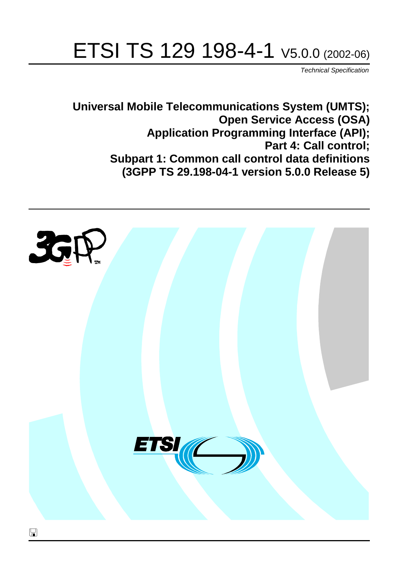# ETSI TS 129 198-4-1 V5.0.0 (2002-06)

Technical Specification

**Universal Mobile Telecommunications System (UMTS); Open Service Access (OSA) Application Programming Interface (API); Part 4: Call control; Subpart 1: Common call control data definitions (3GPP TS 29.198-04-1 version 5.0.0 Release 5)**

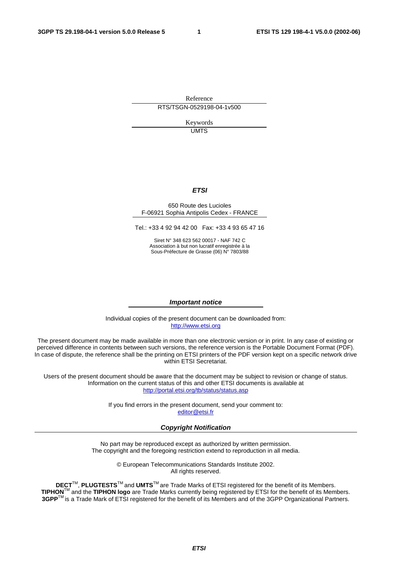Reference RTS/TSGN-0529198-04-1v500

> Keywords UMTS

#### **ETSI**

#### 650 Route des Lucioles F-06921 Sophia Antipolis Cedex - FRANCE

Tel.: +33 4 92 94 42 00 Fax: +33 4 93 65 47 16

Siret N° 348 623 562 00017 - NAF 742 C Association à but non lucratif enregistrée à la Sous-Préfecture de Grasse (06) N° 7803/88

#### **Important notice**

Individual copies of the present document can be downloaded from: [http://www.etsi.org](http://www.etsi.org/)

The present document may be made available in more than one electronic version or in print. In any case of existing or perceived difference in contents between such versions, the reference version is the Portable Document Format (PDF). In case of dispute, the reference shall be the printing on ETSI printers of the PDF version kept on a specific network drive within ETSI Secretariat.

Users of the present document should be aware that the document may be subject to revision or change of status. Information on the current status of this and other ETSI documents is available at <http://portal.etsi.org/tb/status/status.asp>

> If you find errors in the present document, send your comment to: [editor@etsi.fr](mailto:editor@etsi.fr)

#### **Copyright Notification**

No part may be reproduced except as authorized by written permission. The copyright and the foregoing restriction extend to reproduction in all media.

> © European Telecommunications Standards Institute 2002. All rights reserved.

**DECT**TM, **PLUGTESTS**TM and **UMTS**TM are Trade Marks of ETSI registered for the benefit of its Members. **TIPHON**TM and the **TIPHON logo** are Trade Marks currently being registered by ETSI for the benefit of its Members. **3GPP**TM is a Trade Mark of ETSI registered for the benefit of its Members and of the 3GPP Organizational Partners.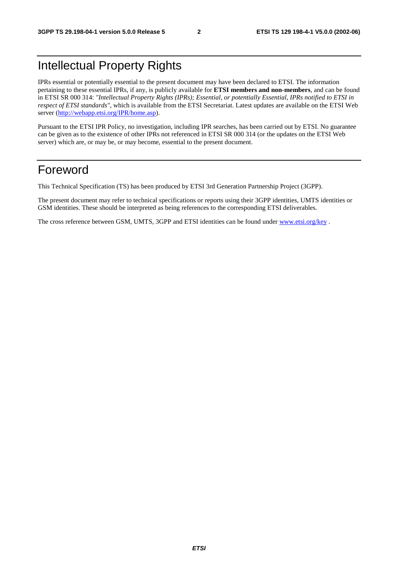## Intellectual Property Rights

IPRs essential or potentially essential to the present document may have been declared to ETSI. The information pertaining to these essential IPRs, if any, is publicly available for **ETSI members and non-members**, and can be found in ETSI SR 000 314: *"Intellectual Property Rights (IPRs); Essential, or potentially Essential, IPRs notified to ETSI in respect of ETSI standards"*, which is available from the ETSI Secretariat. Latest updates are available on the ETSI Web server ([http://webapp.etsi.org/IPR/home.asp\)](http://webapp.etsi.org/IPR/home.asp).

Pursuant to the ETSI IPR Policy, no investigation, including IPR searches, has been carried out by ETSI. No guarantee can be given as to the existence of other IPRs not referenced in ETSI SR 000 314 (or the updates on the ETSI Web server) which are, or may be, or may become, essential to the present document.

### Foreword

This Technical Specification (TS) has been produced by ETSI 3rd Generation Partnership Project (3GPP).

The present document may refer to technical specifications or reports using their 3GPP identities, UMTS identities or GSM identities. These should be interpreted as being references to the corresponding ETSI deliverables.

The cross reference between GSM, UMTS, 3GPP and ETSI identities can be found under [www.etsi.org/key](http://www.etsi.org/key) .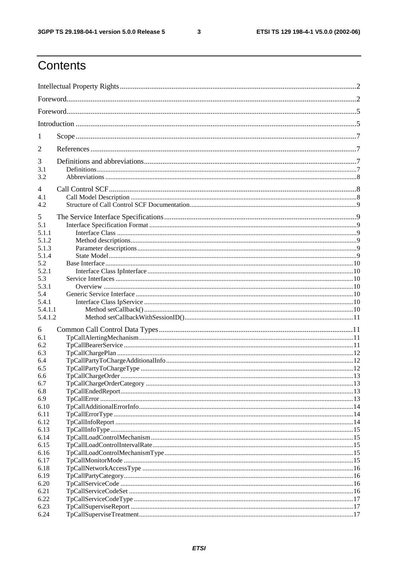$\mathbf{3}$ 

## Contents

| 1                                           |  |
|---------------------------------------------|--|
| 2                                           |  |
| 3<br>3.1<br>3.2                             |  |
| 4<br>4.1<br>4.2                             |  |
| 5<br>5.1<br>5.1.1<br>5.1.2<br>5.1.3         |  |
| 5.1.4<br>5.2<br>5.2.1<br>5.3                |  |
| 5.3.1<br>5.4<br>5.4.1<br>5.4.1.1<br>5.4.1.2 |  |
| 6<br>6.1<br>6.2                             |  |
| 6.3<br>6.4<br>6.5                           |  |
| 6.6<br>6.7<br>6.8<br>6.9                    |  |
| 6.10<br>6.11<br>6.12<br>6.13                |  |
| 6.14<br>6.15<br>6.16                        |  |
| 6.17<br>6.18<br>6.19                        |  |
| 6.20<br>6.21<br>6.22<br>6.23                |  |
| 6.24                                        |  |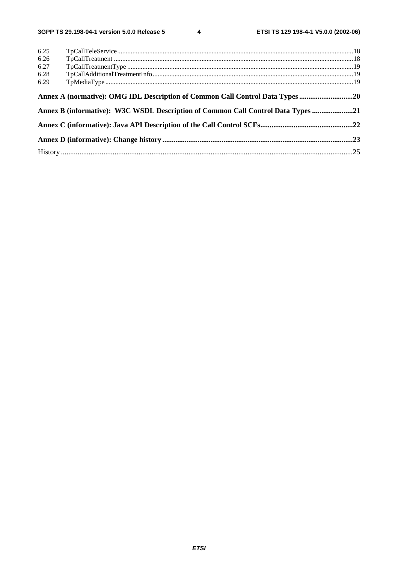$\overline{\mathbf{4}}$ 

| 6.25 |                                                                                  |  |
|------|----------------------------------------------------------------------------------|--|
| 6.26 |                                                                                  |  |
| 6.27 |                                                                                  |  |
| 6.28 |                                                                                  |  |
| 6.29 |                                                                                  |  |
|      | Annex A (normative): OMG IDL Description of Common Call Control Data Types 20    |  |
|      | Annex B (informative): W3C WSDL Description of Common Call Control Data Types 21 |  |
|      |                                                                                  |  |
|      |                                                                                  |  |
|      |                                                                                  |  |
|      |                                                                                  |  |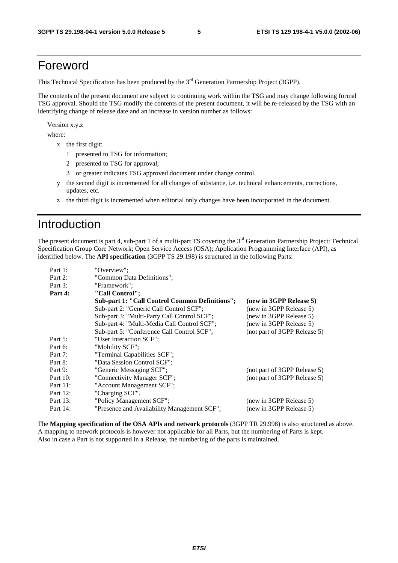## Foreword

This Technical Specification has been produced by the 3<sup>rd</sup> Generation Partnership Project (3GPP).

The contents of the present document are subject to continuing work within the TSG and may change following formal TSG approval. Should the TSG modify the contents of the present document, it will be re-released by the TSG with an identifying change of release date and an increase in version number as follows:

Version x.y.z

where:

- x the first digit:
	- 1 presented to TSG for information;
	- 2 presented to TSG for approval;
	- 3 or greater indicates TSG approved document under change control.
- y the second digit is incremented for all changes of substance, i.e. technical enhancements, corrections, updates, etc.
- z the third digit is incremented when editorial only changes have been incorporated in the document.

### Introduction

The present document is part 4, sub-part 1 of a multi-part TS covering the 3<sup>rd</sup> Generation Partnership Project: Technical Specification Group Core Network; Open Service Access (OSA); Application Programming Interface (API), as identified below. The **API specification** (3GPP TS 29.198) is structured in the following Parts:

| Part 1:     | "Overview":                                    |                              |
|-------------|------------------------------------------------|------------------------------|
| Part 2:     | "Common Data Definitions";                     |                              |
| Part 3:     | "Framework":                                   |                              |
| Part 4:     | "Call Control";                                |                              |
|             | Sub-part 1: "Call Control Common Definitions"; | (new in 3GPP Release 5)      |
|             | Sub-part 2: "Generic Call Control SCF";        | (new in 3GPP Release 5)      |
|             | Sub-part 3: "Multi-Party Call Control SCF";    | (new in 3GPP Release 5)      |
|             | Sub-part 4: "Multi-Media Call Control SCF";    | (new in 3GPP Release 5)      |
|             | Sub-part 5: "Conference Call Control SCF";     | (not part of 3GPP Release 5) |
| Part 5:     | "User Interaction SCF";                        |                              |
| Part 6:     | "Mobility SCF";                                |                              |
| Part 7:     | "Terminal Capabilities SCF";                   |                              |
| Part 8:     | "Data Session Control SCF";                    |                              |
| Part 9:     | "Generic Messaging SCF";                       | (not part of 3GPP Release 5) |
| Part $10$ : | "Connectivity Manager SCF";                    | (not part of 3GPP Release 5) |
| Part 11:    | "Account Management SCF";                      |                              |
| Part 12:    | "Charging SCF".                                |                              |
| Part 13:    | "Policy Management SCF";                       | (new in 3GPP Release 5)      |
| Part 14:    | "Presence and Availability Management SCF";    | (new in 3GPP Release 5)      |

The **Mapping specification of the OSA APIs and network protocols** (3GPP TR 29.998) is also structured as above. A mapping to network protocols is however not applicable for all Parts, but the numbering of Parts is kept. Also in case a Part is not supported in a Release, the numbering of the parts is maintained.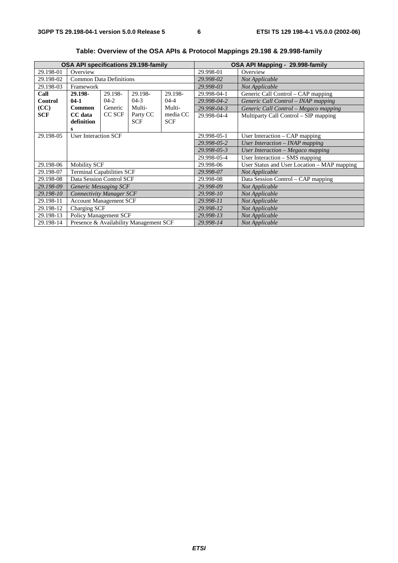| <b>OSA API specifications 29.198-family</b> |                                        |             |                                   |                                             |             | OSA API Mapping - 29.998-family       |
|---------------------------------------------|----------------------------------------|-------------|-----------------------------------|---------------------------------------------|-------------|---------------------------------------|
| 29.198-01                                   | Overview                               |             |                                   |                                             | 29.998-01   | Overview                              |
| 29.198-02                                   | <b>Common Data Definitions</b>         |             |                                   |                                             | 29.998-02   | Not Applicable                        |
| 29.198-03                                   | Framework                              |             |                                   |                                             | 29.998-03   | Not Applicable                        |
| Call                                        | 29.198-                                | 29.198-     | 29.198-                           | 29.198-                                     | 29.998-04-1 | Generic Call Control - CAP mapping    |
| <b>Control</b>                              | $04-1$                                 | $04-2$      | $04-3$                            | $04 - 4$                                    | 29.998-04-2 | Generic Call Control – INAP mapping   |
| (CC)                                        | Common                                 | Generic     | Multi-                            | Multi-                                      | 29.998-04-3 | Generic Call Control - Megaco mapping |
| <b>SCF</b>                                  | CC data                                | CC SCF      | Party CC                          | media CC                                    | 29.998-04-4 | Multiparty Call Control – SIP mapping |
|                                             | definition                             |             | <b>SCF</b>                        | <b>SCF</b>                                  |             |                                       |
|                                             |                                        |             |                                   |                                             |             |                                       |
| <b>User Interaction SCF</b><br>29.198-05    |                                        |             | 29.998-05-1                       | User Interaction $-$ CAP mapping            |             |                                       |
|                                             |                                        |             |                                   |                                             | 29.998-05-2 | User Interaction - INAP mapping       |
|                                             |                                        | 29.998-05-3 | User Interaction - Megaco mapping |                                             |             |                                       |
|                                             |                                        | 29.998-05-4 | User Interaction – SMS mapping    |                                             |             |                                       |
| 29.198-06                                   | <b>Mobility SCF</b>                    |             | 29.998-06                         | User Status and User Location – MAP mapping |             |                                       |
| 29.198-07                                   | <b>Terminal Capabilities SCF</b>       |             |                                   |                                             | 29.998-07   | Not Applicable                        |
| 29.198-08                                   | Data Session Control SCF               |             |                                   |                                             | 29.998-08   | Data Session Control - CAP mapping    |
| 29.198-09                                   | <b>Generic Messaging SCF</b>           |             |                                   |                                             | 29.998-09   | Not Applicable                        |
| 29.198-10                                   | <b>Connectivity Manager SCF</b>        |             |                                   |                                             | 29.998-10   | Not Applicable                        |
| 29.198-11                                   | <b>Account Management SCF</b>          |             |                                   |                                             | 29.998-11   | Not Applicable                        |
| 29.198-12                                   | Charging SCF                           |             |                                   |                                             | 29.998-12   | Not Applicable                        |
| 29.198-13                                   | Policy Management SCF                  |             |                                   |                                             | 29.998-13   | Not Applicable                        |
| 29.198-14                                   | Presence & Availability Management SCF |             |                                   |                                             | 29.998-14   | Not Applicable                        |

**Table: Overview of the OSA APIs & Protocol Mappings 29.198 & 29.998-family**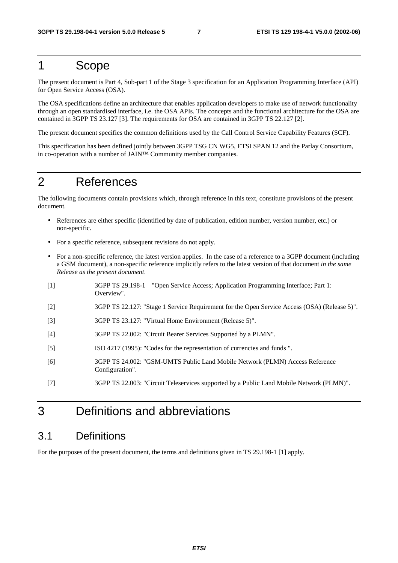### 1 Scope

The present document is Part 4, Sub-part 1 of the Stage 3 specification for an Application Programming Interface (API) for Open Service Access (OSA).

The OSA specifications define an architecture that enables application developers to make use of network functionality through an open standardised interface, i.e. the OSA APIs. The concepts and the functional architecture for the OSA are contained in 3GPP TS 23.127 [3]. The requirements for OSA are contained in 3GPP TS 22.127 [2].

The present document specifies the common definitions used by the Call Control Service Capability Features (SCF).

This specification has been defined jointly between 3GPP TSG CN WG5, ETSI SPAN 12 and the Parlay Consortium, in co-operation with a number of JAIN™ Community member companies.

### 2 References

The following documents contain provisions which, through reference in this text, constitute provisions of the present document.

- References are either specific (identified by date of publication, edition number, version number, etc.) or non-specific.
- For a specific reference, subsequent revisions do not apply.
- For a non-specific reference, the latest version applies. In the case of a reference to a 3GPP document (including a GSM document), a non-specific reference implicitly refers to the latest version of that document *in the same Release as the present document*.
- [1] 3GPP TS 29.198-1 "Open Service Access; Application Programming Interface; Part 1: Overview".
- [2] 3GPP TS 22.127: "Stage 1 Service Requirement for the Open Service Access (OSA) (Release 5)".
- [3] 3GPP TS 23.127: "Virtual Home Environment (Release 5)".
- [4] 3GPP TS 22.002: "Circuit Bearer Services Supported by a PLMN".
- [5] ISO 4217 (1995): "Codes for the representation of currencies and funds ".
- [6] 3GPP TS 24.002: "GSM-UMTS Public Land Mobile Network (PLMN) Access Reference Configuration".
- [7] 3GPP TS 22.003: "Circuit Teleservices supported by a Public Land Mobile Network (PLMN)".

## 3 Definitions and abbreviations

#### 3.1 Definitions

For the purposes of the present document, the terms and definitions given in TS 29.198-1 [1] apply.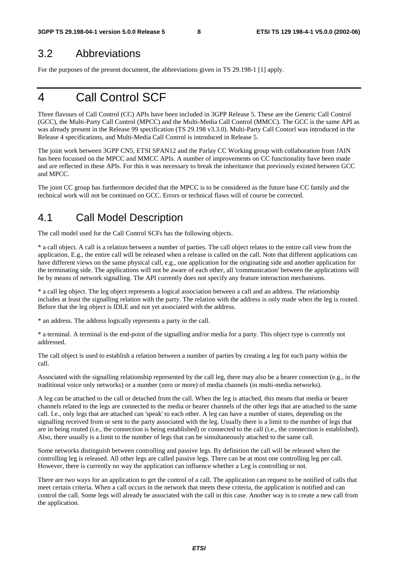#### 3.2 Abbreviations

For the purposes of the present document, the abbreviations given in TS 29.198-1 [1] apply.

## 4 Call Control SCF

Three flavours of Call Control (CC) APIs have been included in 3GPP Release 5. These are the Generic Call Control (GCC), the Multi-Party Call Control (MPCC) and the Multi-Media Call Control (MMCC). The GCC is the same API as was already present in the Release 99 specification (TS 29.198 v3.3.0). Multi-Party Call Contorl was introduced in the Release 4 specifications, and Multi-Media Call Control is introduced in Release 5.

The joint work between 3GPP CN5, ETSI SPAN12 and the Parlay CC Working group with collaboration from JAIN has been focussed on the MPCC and MMCC APIs. A number of improvements on CC functionality have been made and are reflected in these APIs. For this it was necessary to break the inheritance that previously existed between GCC and MPCC.

The joint CC group has furthermore decided that the MPCC is to be considered as the future base CC family and the technical work will not be continued on GCC. Errors or technical flaws will of course be corrected.

### 4.1 Call Model Description

The call model used for the Call Control SCFs has the following objects.

\* a call object. A call is a relation between a number of parties. The call object relates to the entire call view from the application. E.g., the entire call will be released when a release is called on the call. Note that different applications can have different views on the same physical call, e.g., one application for the originating side and another application for the terminating side. The applications will not be aware of each other, all 'communication' between the applications will be by means of network signalling. The API currently does not specify any feature interaction mechanisms.

\* a call leg object. The leg object represents a logical association between a call and an address. The relationship includes at least the signalling relation with the party. The relation with the address is only made when the leg is routed. Before that the leg object is IDLE and not yet associated with the address.

\* an address. The address logically represents a party in the call.

\* a terminal. A terminal is the end-point of the signalling and/or media for a party. This object type is currently not addressed.

The call object is used to establish a relation between a number of parties by creating a leg for each party within the call.

Associated with the signalling relationship represented by the call leg, there may also be a bearer connection (e.g., in the traditional voice only networks) or a number (zero or more) of media channels (in multi-media networks).

A leg can be attached to the call or detached from the call. When the leg is attached, this means that media or bearer channels related to the legs are connected to the media or bearer channels of the other legs that are attached to the same call. I.e., only legs that are attached can 'speak' to each other. A leg can have a number of states, depending on the signalling received from or sent to the party associated with the leg. Usually there is a limit to the number of legs that are in being routed (i.e., the connection is being established) or connected to the call (i.e., the connection is established). Also, there usually is a limit to the number of legs that can be simultaneously attached to the same call.

Some networks distinguish between controlling and passive legs. By definition the call will be released when the controlling leg is released. All other legs are called passive legs. There can be at most one controlling leg per call. However, there is currently no way the application can influence whether a Leg is controlling or not.

There are two ways for an application to get the control of a call. The application can request to be notified of calls that meet certain criteria. When a call occurs in the network that meets these criteria, the application is notified and can control the call. Some legs will already be associated with the call in this case. Another way is to create a new call from the application.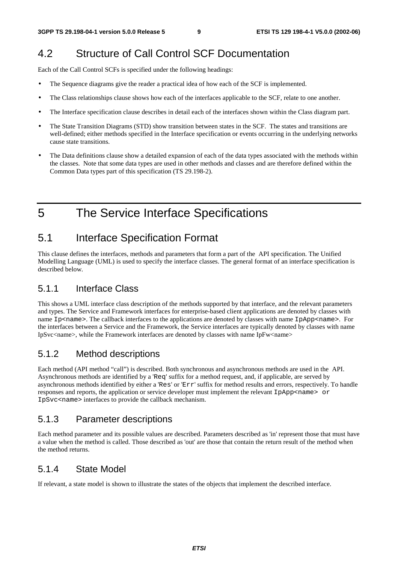### 4.2 Structure of Call Control SCF Documentation

Each of the Call Control SCFs is specified under the following headings:

- The Sequence diagrams give the reader a practical idea of how each of the SCF is implemented.
- The Class relationships clause shows how each of the interfaces applicable to the SCF, relate to one another.
- The Interface specification clause describes in detail each of the interfaces shown within the Class diagram part.
- The State Transition Diagrams (STD) show transition between states in the SCF. The states and transitions are well-defined; either methods specified in the Interface specification or events occurring in the underlying networks cause state transitions.
- The Data definitions clause show a detailed expansion of each of the data types associated with the methods within the classes. Note that some data types are used in other methods and classes and are therefore defined within the Common Data types part of this specification (TS 29.198-2).

5 The Service Interface Specifications

### 5.1 Interface Specification Format

This clause defines the interfaces, methods and parameters that form a part of the API specification. The Unified Modelling Language (UML) is used to specify the interface classes. The general format of an interface specification is described below.

#### 5.1.1 Interface Class

This shows a UML interface class description of the methods supported by that interface, and the relevant parameters and types. The Service and Framework interfaces for enterprise-based client applications are denoted by classes with name Ip<name>. The callback interfaces to the applications are denoted by classes with name IpApp<name>. For the interfaces between a Service and the Framework, the Service interfaces are typically denoted by classes with name IpSvc<name>, while the Framework interfaces are denoted by classes with name IpFw<name>

#### 5.1.2 Method descriptions

Each method (API method "call") is described. Both synchronous and asynchronous methods are used in the API. Asynchronous methods are identified by a 'Req' suffix for a method request, and, if applicable, are served by asynchronous methods identified by either a 'Res' or 'Err' suffix for method results and errors, respectively. To handle responses and reports, the application or service developer must implement the relevant IpApp<name> or IpSvc<name> interfaces to provide the callback mechanism.

#### 5.1.3 Parameter descriptions

Each method parameter and its possible values are described. Parameters described as 'in' represent those that must have a value when the method is called. Those described as 'out' are those that contain the return result of the method when the method returns.

#### 5.1.4 State Model

If relevant, a state model is shown to illustrate the states of the objects that implement the described interface.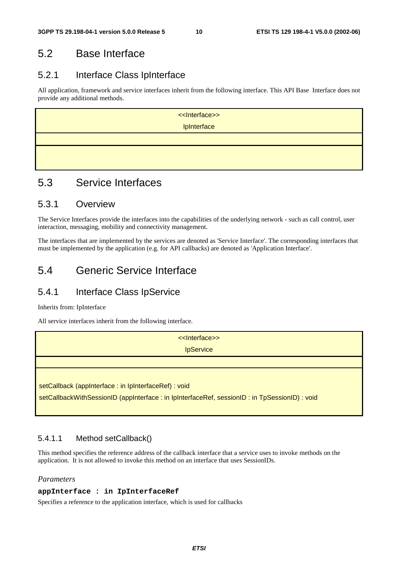### 5.2 Base Interface

#### 5.2.1 Interface Class IpInterface

All application, framework and service interfaces inherit from the following interface. This API Base Interface does not provide any additional methods.

| < <lnterface>&gt;</lnterface> |
|-------------------------------|
| IpInterface                   |
|                               |
|                               |
|                               |

### 5.3 Service Interfaces

#### 5.3.1 Overview

The Service Interfaces provide the interfaces into the capabilities of the underlying network - such as call control, user interaction, messaging, mobility and connectivity management.

The interfaces that are implemented by the services are denoted as 'Service Interface'. The corresponding interfaces that must be implemented by the application (e.g. for API callbacks) are denoted as 'Application Interface'.

### 5.4 Generic Service Interface

#### 5.4.1 Interface Class IpService

Inherits from: IpInterface

All service interfaces inherit from the following interface.

| << Interface>>                                                                              |
|---------------------------------------------------------------------------------------------|
| <b>IpService</b>                                                                            |
|                                                                                             |
|                                                                                             |
| setCallback (appInterface: in IpInterfaceRef): void                                         |
| setCallbackWithSessionID (appInterface: in lpInterfaceRef, sessionID: in TpSessionID): void |
|                                                                                             |

#### 5.4.1.1 Method setCallback()

This method specifies the reference address of the callback interface that a service uses to invoke methods on the application. It is not allowed to invoke this method on an interface that uses SessionIDs.

#### *Parameters*

#### **appInterface : in IpInterfaceRef**

Specifies a reference to the application interface, which is used for callbacks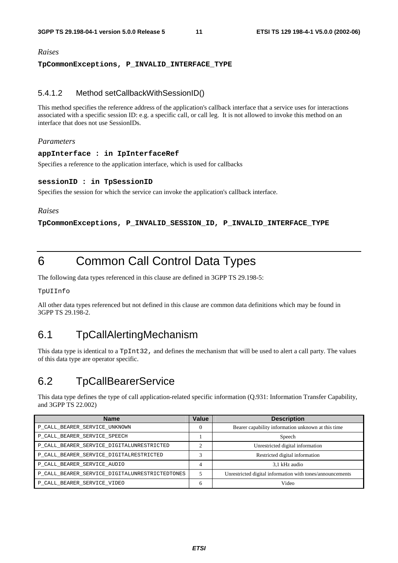#### *Raises*

#### **TpCommonExceptions, P\_INVALID\_INTERFACE\_TYPE**

#### 5.4.1.2 Method setCallbackWithSessionID()

This method specifies the reference address of the application's callback interface that a service uses for interactions associated with a specific session ID: e.g. a specific call, or call leg. It is not allowed to invoke this method on an interface that does not use SessionIDs.

#### *Parameters*

#### **appInterface : in IpInterfaceRef**

Specifies a reference to the application interface, which is used for callbacks

#### **sessionID : in TpSessionID**

Specifies the session for which the service can invoke the application's callback interface.

#### *Raises*

**TpCommonExceptions, P\_INVALID\_SESSION\_ID, P\_INVALID\_INTERFACE\_TYPE** 

## 6 Common Call Control Data Types

The following data types referenced in this clause are defined in 3GPP TS 29.198-5:

TpUIInfo

All other data types referenced but not defined in this clause are common data definitions which may be found in 3GPP TS 29.198-2.

### 6.1 TpCallAlertingMechanism

This data type is identical to a TpInt32, and defines the mechanism that will be used to alert a call party. The values of this data type are operator specific.

### 6.2 TpCallBearerService

This data type defines the type of call application-related specific information (Q.931: Information Transfer Capability, and 3GPP TS 22.002)

| <b>Name</b>                                    | <b>Value</b> | <b>Description</b>                                        |
|------------------------------------------------|--------------|-----------------------------------------------------------|
| P_CALL_BEARER_SERVICE_UNKNOWN                  | 0            | Bearer capability information unknown at this time        |
| P_CALL_BEARER_SERVICE_SPEECH                   |              | Speech                                                    |
| P CALL BEARER SERVICE DIGITALUNRESTRICTED      |              | Unrestricted digital information                          |
| P_CALL_BEARER_SERVICE_DIGITALRESTRICTED        |              | Restricted digital information                            |
| P_CALL_BEARER_SERVICE_AUDIO                    | 4            | 3,1 kHz audio                                             |
| P_CALL_BEARER_SERVICE_DIGITALUNRESTRICTEDTONES |              | Unrestricted digital information with tones/announcements |
| P_CALL_BEARER_SERVICE_VIDEO                    | 6            | Video                                                     |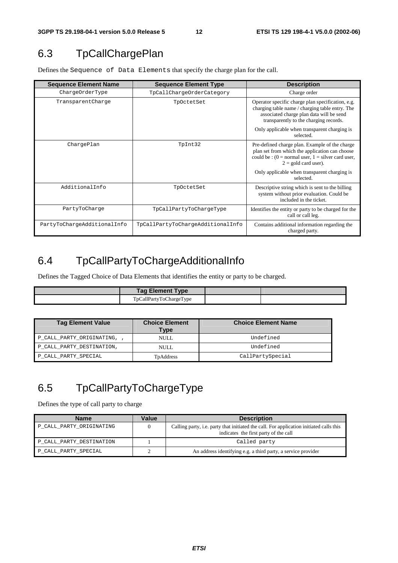## 6.3 TpCallChargePlan

Defines the Sequence of Data Elements that specify the charge plan for the call.

| <b>Sequence Element Name</b> | <b>Sequence Element Type</b>      | <b>Description</b>                                                                                                                                                                         |
|------------------------------|-----------------------------------|--------------------------------------------------------------------------------------------------------------------------------------------------------------------------------------------|
| ChargeOrderType              | TpCallChargeOrderCategory         | Charge order                                                                                                                                                                               |
| TransparentCharge            | TpOctetSet                        | Operator specific charge plan specification, e.g.<br>charging table name / charging table entry. The<br>associated charge plan data will be send<br>transparently to the charging records. |
|                              |                                   | Only applicable when transparent charging is<br>selected.                                                                                                                                  |
| ChargePlan                   | TpInt32                           | Pre-defined charge plan. Example of the charge<br>plan set from which the application can choose<br>could be : $(0 = normal user, 1 = silver card user, )$<br>$2 =$ gold card user).       |
|                              |                                   | Only applicable when transparent charging is<br>selected.                                                                                                                                  |
| AdditionalInfo               | TpOctetSet                        | Descriptive string which is sent to the billing<br>system without prior evaluation. Could be<br>included in the ticket.                                                                    |
| PartyToCharge                | TpCallPartyToChargeType           | Identifies the entity or party to be charged for the<br>call or call leg.                                                                                                                  |
| PartyToChargeAdditionalInfo  | TpCallPartyToChargeAdditionalInfo | Contains additional information regarding the<br>charged party.                                                                                                                            |

## 6.4 TpCallPartyToChargeAdditionalInfo

Defines the Tagged Choice of Data Elements that identifies the entity or party to be charged.

| <b>Tag Element Type</b> |  |
|-------------------------|--|
| TpCallPartyToChargeType |  |

| <b>Tag Element Value</b>  | <b>Choice Element</b><br>Type | <b>Choice Element Name</b> |
|---------------------------|-------------------------------|----------------------------|
| P_CALL_PARTY_ORIGINATING, | NULL.                         | Undefined                  |
| P_CALL_PARTY_DESTINATION, | NULL.                         | Undefined                  |
| P_CALL_PARTY_SPECIAL      | TpAddress                     | CallPartySpecial           |

## 6.5 TpCallPartyToChargeType

Defines the type of call party to charge

| <b>Name</b>              | Value | <b>Description</b>                                                                                                               |
|--------------------------|-------|----------------------------------------------------------------------------------------------------------------------------------|
| P CALL PARTY ORIGINATING |       | Calling party, i.e. party that initiated the call. For application initiated calls this<br>indicates the first party of the call |
| P_CALL_PARTY_DESTINATION |       | Called party                                                                                                                     |
| P_CALL_PARTY_SPECIAL     |       | An address identifying e.g. a third party, a service provider                                                                    |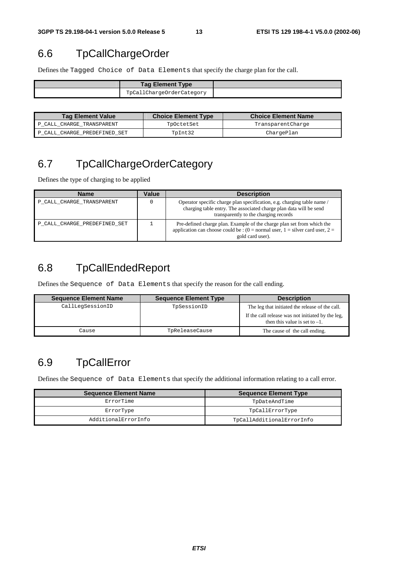### 6.6 TpCallChargeOrder

Defines the Tagged Choice of Data Elements that specify the charge plan for the call.

| <b>Tag Element Type</b>   |  |
|---------------------------|--|
| TpCallChargeOrderCategory |  |

| <b>Tag Element Value</b>     | <b>Choice Element Type</b> | <b>Choice Element Name</b> |
|------------------------------|----------------------------|----------------------------|
| P CALL CHARGE TRANSPARENT    | TpOctetSet                 | TransparentCharge          |
| P CALL CHARGE PREDEFINED SET | TpInt32                    | ChargePlan                 |

## 6.7 TpCallChargeOrderCategory

Defines the type of charging to be applied

| <b>Name</b>                  | Value | <b>Description</b>                                                                                                                                                                     |
|------------------------------|-------|----------------------------------------------------------------------------------------------------------------------------------------------------------------------------------------|
| P_CALL_CHARGE_TRANSPARENT    |       | Operator specific charge plan specification, e.g. charging table name /<br>charging table entry. The associated charge plan data will be send<br>transparently to the charging records |
| P CALL CHARGE PREDEFINED SET |       | Pre-defined charge plan. Example of the charge plan set from which the<br>application can choose could be : $(0 = normal user, 1 = silver card user, 2 =$<br>gold card user).          |

## 6.8 TpCallEndedReport

Defines the Sequence of Data Elements that specify the reason for the call ending.

| <b>Sequence Element Name</b> | <b>Sequence Element Type</b> | <b>Description</b>                                                                    |
|------------------------------|------------------------------|---------------------------------------------------------------------------------------|
| CallLegSessionID             | TpSessionID                  | The leg that initiated the release of the call.                                       |
|                              |                              | If the call release was not initiated by the leg,<br>then this value is set to $-1$ . |
| Cause                        | TpReleaseCause               | The cause of the call ending.                                                         |

## 6.9 TpCallError

Defines the Sequence of Data Elements that specify the additional information relating to a call error.

| <b>Sequence Element Name</b> | <b>Sequence Element Type</b> |
|------------------------------|------------------------------|
| ErrorTime                    | TpDateAndTime                |
| ErrorType                    | TpCallErrorType              |
| AdditionalErrorInfo          | TpCallAdditionalErrorInfo    |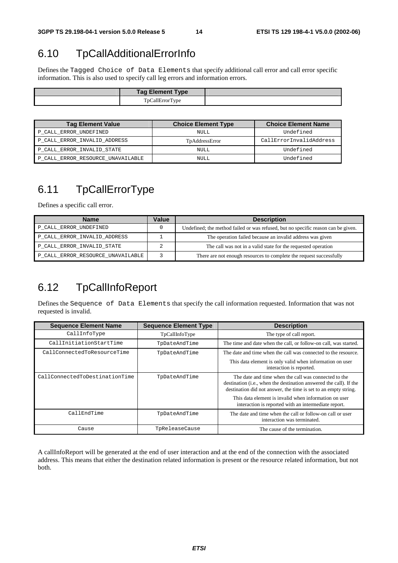## 6.10 TpCallAdditionalErrorInfo

Defines the Tagged Choice of Data Elements that specify additional call error and call error specific information. This is also used to specify call leg errors and information errors.

| <b>Tag Element Type</b> |  |
|-------------------------|--|
| TpCallErrorType         |  |

| <b>Tag Element Value</b>          | <b>Choice Element Type</b> | <b>Choice Element Name</b> |
|-----------------------------------|----------------------------|----------------------------|
| P_CALL_ERROR_UNDEFINED            | NULL                       | Undefined                  |
| P_CALL_ERROR_INVALID_ADDRESS      | TpAddressError             | CallErrorInvalidAddress    |
| P_CALL_ERROR_INVALID_STATE        | <b>NULL</b>                | Undefined                  |
| P_CALL_ERROR_RESOURCE_UNAVAILABLE | NULL                       | Undefined                  |

## 6.11 TpCallErrorType

Defines a specific call error.

| <b>Name</b>                       | Value | <b>Description</b>                                                                |
|-----------------------------------|-------|-----------------------------------------------------------------------------------|
| P_CALL_ERROR_UNDEFINED            |       | Undefined; the method failed or was refused, but no specific reason can be given. |
| P_CALL_ERROR_INVALID_ADDRESS      |       | The operation failed because an invalid address was given                         |
| P_CALL_ERROR_INVALID_STATE        |       | The call was not in a valid state for the requested operation                     |
| P_CALL_ERROR_RESOURCE_UNAVAILABLE |       | There are not enough resources to complete the request successfully               |

## 6.12 TpCallInfoReport

Defines the Sequence of Data Elements that specify the call information requested. Information that was not requested is invalid.

| <b>Sequence Element Name</b>   | <b>Sequence Element Type</b> | <b>Description</b>                                                                                                                                                                                     |
|--------------------------------|------------------------------|--------------------------------------------------------------------------------------------------------------------------------------------------------------------------------------------------------|
| CallInfoType                   | TpCallInfoType               | The type of call report.                                                                                                                                                                               |
| CallInitiationStartTime        | TpDateAndTime                | The time and date when the call, or follow-on call, was started.                                                                                                                                       |
| CallConnectedToResourceTime    | TpDateAndTime                | The date and time when the call was connected to the resource.                                                                                                                                         |
|                                |                              | This data element is only valid when information on user<br>interaction is reported.                                                                                                                   |
| CallConnectedToDestinationTime | TpDateAndTime                | The date and time when the call was connected to the<br>destination ( <i>i.e.</i> , when the destination answered the call). If the<br>destination did not answer, the time is set to an empty string. |
|                                |                              | This data element is invalid when information on user<br>interaction is reported with an intermediate report.                                                                                          |
| CallEndTime                    | TpDateAndTime                | The date and time when the call or follow-on call or user<br>interaction was terminated.                                                                                                               |
| Cause                          | TpReleaseCause               | The cause of the termination.                                                                                                                                                                          |

A callInfoReport will be generated at the end of user interaction and at the end of the connection with the associated address. This means that either the destination related information is present or the resource related information, but not both.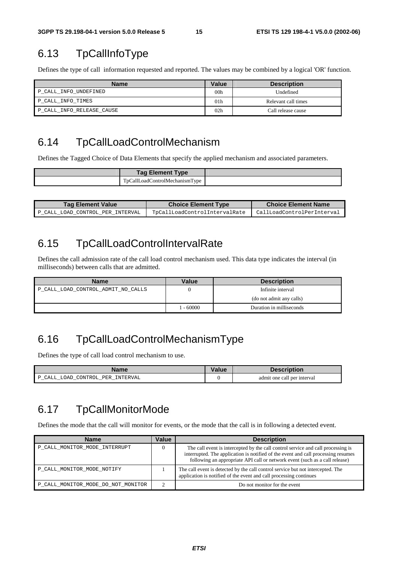### 6.13 TpCallInfoType

Defines the type of call information requested and reported. The values may be combined by a logical 'OR' function.

| Name                      | Value           | <b>Description</b>  |
|---------------------------|-----------------|---------------------|
| P_CALL_INFO_UNDEFINED     | 00 <sub>h</sub> | Undefined           |
| P CALL INFO TIMES         | 01 <sub>h</sub> | Relevant call times |
| P CALL INFO RELEASE CAUSE | 02 <sub>h</sub> | Call release cause  |

### 6.14 TpCallLoadControlMechanism

Defines the Tagged Choice of Data Elements that specify the applied mechanism and associated parameters.

| <b>Tag Element Type</b>                                      |  |
|--------------------------------------------------------------|--|
| $\sim$<br>TnCallLoadC<br>ControlMechanism<br>v <sub>pe</sub> |  |

| <b>Tag Element Value</b>         | <b>Choice Element Type</b>    | <b>Choice Element Name</b> |
|----------------------------------|-------------------------------|----------------------------|
| P CALL LOAD CONTROL PER INTERVAL | TpCallLoadControlIntervalRate | CallLoadControlPerInterval |

### 6.15 TpCallLoadControlIntervalRate

Defines the call admission rate of the call load control mechanism used. This data type indicates the interval (in milliseconds) between calls that are admitted.

| <b>Name</b>                        | Value    | <b>Description</b>       |
|------------------------------------|----------|--------------------------|
| P_CALL_LOAD_CONTROL_ADMIT_NO_CALLS |          | Infinite interval        |
|                                    |          | (do not admit any calls) |
|                                    | $-60000$ | Duration in milliseconds |

### 6.16 TpCallLoadControlMechanismType

Defines the type of call load control mechanism to use.

| Name                             | Value | <b>Description</b>          |
|----------------------------------|-------|-----------------------------|
| P CALL LOAD CONTROL PER INTERVAL |       | admit one call per interval |

### 6.17 TpCallMonitorMode

Defines the mode that the call will monitor for events, or the mode that the call is in following a detected event.

| <b>Name</b>                        | Value | <b>Description</b>                                                                                                                                                                                                                                   |
|------------------------------------|-------|------------------------------------------------------------------------------------------------------------------------------------------------------------------------------------------------------------------------------------------------------|
| P CALL MONITOR MODE INTERRUPT      |       | The call event is intercepted by the call control service and call processing is<br>interrupted. The application is notified of the event and call processing resumes<br>following an appropriate API call or network event (such as a call release) |
| P CALL MONITOR MODE NOTIFY         |       | The call event is detected by the call control service but not intercepted. The<br>application is notified of the event and call processing continues                                                                                                |
| P CALL_MONITOR_MODE_DO_NOT_MONITOR |       | Do not monitor for the event                                                                                                                                                                                                                         |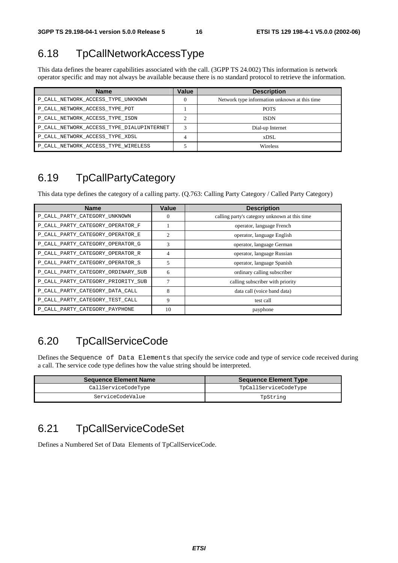## 6.18 TpCallNetworkAccessType

This data defines the bearer capabilities associated with the call. (3GPP TS 24.002) This information is network operator specific and may not always be available because there is no standard protocol to retrieve the information.

| <b>Name</b>                               | Value | <b>Description</b>                            |
|-------------------------------------------|-------|-----------------------------------------------|
| P CALL NETWORK ACCESS TYPE UNKNOWN        |       | Network type information unknown at this time |
| P CALL NETWORK ACCESS TYPE POT            |       | <b>POTS</b>                                   |
| P CALL NETWORK ACCESS TYPE ISDN           |       | <b>ISDN</b>                                   |
| P_CALL_NETWORK_ACCESS_TYPE_DIALUPINTERNET |       | Dial-up Internet                              |
| P_CALL_NETWORK_ACCESS_TYPE_XDSL           |       | xDSL                                          |
| P_CALL_NETWORK_ACCESS_TYPE_WIRELESS       |       | Wireless                                      |

## 6.19 TpCallPartyCategory

This data type defines the category of a calling party. (Q.763: Calling Party Category / Called Party Category)

| <b>Name</b>                        | Value | <b>Description</b>                            |
|------------------------------------|-------|-----------------------------------------------|
| P_CALL_PARTY_CATEGORY_UNKNOWN      | 0     | calling party's category unknown at this time |
| P_CALL_PARTY_CATEGORY_OPERATOR_F   |       | operator, language French                     |
| P_CALL_PARTY_CATEGORY_OPERATOR_E   | 2     | operator, language English                    |
| P_CALL_PARTY_CATEGORY_OPERATOR_G   | 3     | operator, language German                     |
| P_CALL_PARTY_CATEGORY_OPERATOR_R   | 4     | operator, language Russian                    |
| P_CALL_PARTY_CATEGORY_OPERATOR_S   | 5     | operator, language Spanish                    |
| P_CALL_PARTY_CATEGORY_ORDINARY_SUB | 6     | ordinary calling subscriber                   |
| P_CALL_PARTY_CATEGORY_PRIORITY_SUB | 7     | calling subscriber with priority              |
| P_CALL_PARTY_CATEGORY_DATA_CALL    | 8     | data call (voice band data)                   |
| P_CALL_PARTY_CATEGORY_TEST_CALL    | 9     | test call                                     |
| P_CALL_PARTY_CATEGORY_PAYPHONE     | 10    | payphone                                      |

## 6.20 TpCallServiceCode

Defines the Sequence of Data Elements that specify the service code and type of service code received during a call. The service code type defines how the value string should be interpreted.

| <b>Sequence Element Name</b> | <b>Sequence Element Type</b> |
|------------------------------|------------------------------|
| CallServiceCodeType          | TpCallServiceCodeType        |
| ServiceCodeValue             | TpString                     |

## 6.21 TpCallServiceCodeSet

Defines a Numbered Set of Data Elements of TpCallServiceCode.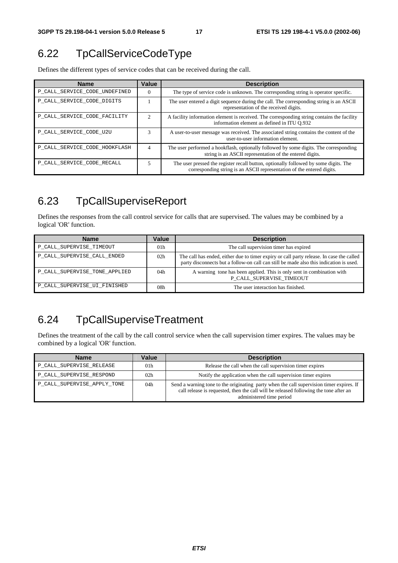## 6.22 TpCallServiceCodeType

Defines the different types of service codes that can be received during the call.

| <b>Name</b>                   | Value          | <b>Description</b>                                                                                                                                             |
|-------------------------------|----------------|----------------------------------------------------------------------------------------------------------------------------------------------------------------|
| P_CALL_SERVICE_CODE_UNDEFINED | 0              | The type of service code is unknown. The corresponding string is operator specific.                                                                            |
| P_CALL_SERVICE_CODE_DIGITS    |                | The user entered a digit sequence during the call. The corresponding string is an ASCII<br>representation of the received digits.                              |
| P CALL SERVICE CODE FACILITY  | $\mathfrak{D}$ | A facility information element is received. The corresponding string contains the facility<br>information element as defined in ITU 0.932                      |
| P CALL SERVICE CODE U2U       | 3              | A user-to-user message was received. The associated string contains the content of the<br>user-to-user information element.                                    |
| P CALL SERVICE CODE HOOKFLASH | 4              | The user performed a hookflash, optionally followed by some digits. The corresponding<br>string is an ASCII representation of the entered digits.              |
| P CALL SERVICE CODE RECALL    | 5              | The user pressed the register recall button, optionally followed by some digits. The<br>corresponding string is an ASCII representation of the entered digits. |

## 6.23 TpCallSuperviseReport

Defines the responses from the call control service for calls that are supervised. The values may be combined by a logical 'OR' function.

| <b>Name</b>                   | Value | <b>Description</b>                                                                                                                                                                 |
|-------------------------------|-------|------------------------------------------------------------------------------------------------------------------------------------------------------------------------------------|
| P_CALL_SUPERVISE_TIMEOUT      | 01h   | The call supervision timer has expired                                                                                                                                             |
| P CALL SUPERVISE CALL ENDED   | 02h   | The call has ended, either due to timer expiry or call party release. In case the called<br>party disconnects but a follow-on call can still be made also this indication is used. |
| P CALL SUPERVISE TONE APPLIED | 04h   | A warning tone has been applied. This is only sent in combination with<br>P CALL SUPERVISE TIMEOUT                                                                                 |
| P_CALL_SUPERVISE_UI_FINISHED  | 08h   | The user interaction has finished.                                                                                                                                                 |

## 6.24 TpCallSuperviseTreatment

Defines the treatment of the call by the call control service when the call supervision timer expires. The values may be combined by a logical 'OR' function.

| <b>Name</b>                 | Value           | <b>Description</b>                                                                                                                                                                                            |
|-----------------------------|-----------------|---------------------------------------------------------------------------------------------------------------------------------------------------------------------------------------------------------------|
| P_CALL_SUPERVISE_RELEASE    | 01h             | Release the call when the call supervision timer expires                                                                                                                                                      |
| P_CALL_SUPERVISE_RESPOND    | 02 <sub>h</sub> | Notify the application when the call supervision timer expires                                                                                                                                                |
| P_CALL_SUPERVISE_APPLY_TONE | 04h             | Send a warning tone to the originating party when the call supervision timer expires. If<br>call release is requested, then the call will be released following the tone after an<br>administered time period |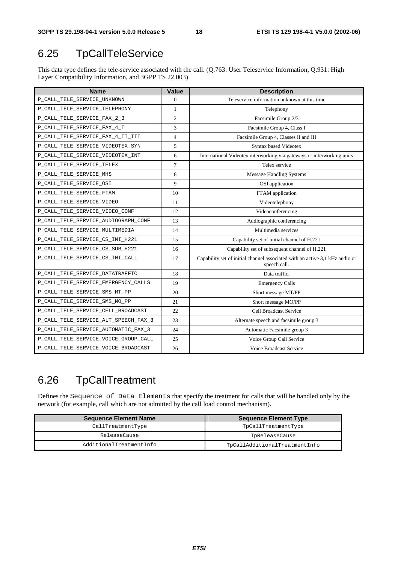## 6.25 TpCallTeleService

This data type defines the tele-service associated with the call. (Q.763: User Teleservice Information, Q.931: High Layer Compatibility Information, and 3GPP TS 22.003)

| <b>Name</b>                          | <b>Value</b>   | <b>Description</b>                                                                           |
|--------------------------------------|----------------|----------------------------------------------------------------------------------------------|
| P_CALL_TELE_SERVICE_UNKNOWN          | $\Omega$       | Teleservice information unknown at this time                                                 |
| P_CALL_TELE_SERVICE_TELEPHONY        | 1              | Telephony                                                                                    |
| P_CALL_TELE_SERVICE_FAX_2_3          | $\overline{2}$ | Facsimile Group 2/3                                                                          |
| P_CALL_TELE_SERVICE_FAX_4_I          | 3              | Facsimile Group 4, Class I                                                                   |
| P_CALL_TELE_SERVICE_FAX_4_II_III     | $\overline{4}$ | Facsimile Group 4, Classes II and III                                                        |
| P_CALL_TELE_SERVICE_VIDEOTEX_SYN     | 5              | Syntax based Videotex                                                                        |
| P_CALL_TELE_SERVICE_VIDEOTEX_INT     | 6              | International Videotex interworking via gateways or interworking units                       |
| P_CALL_TELE_SERVICE_TELEX            | $\tau$         | Telex service                                                                                |
| P_CALL_TELE_SERVICE_MHS              | 8              | <b>Message Handling Systems</b>                                                              |
| P_CALL_TELE_SERVICE_OSI              | 9              | OSI application                                                                              |
| P_CALL_TELE_SERVICE_FTAM             | 10             | FTAM application                                                                             |
| P_CALL_TELE_SERVICE_VIDEO            | 11             | Videotelephony                                                                               |
| P_CALL_TELE_SERVICE_VIDEO_CONF       | 12             | Videoconferencing                                                                            |
| P_CALL_TELE_SERVICE_AUDIOGRAPH_CONF  | 13             | Audiographic conferencing                                                                    |
| P_CALL_TELE_SERVICE_MULTIMEDIA       | 14             | Multimedia services                                                                          |
| P_CALL_TELE_SERVICE_CS_INI_H221      | 15             | Capability set of initial channel of H.221                                                   |
| P_CALL_TELE_SERVICE_CS_SUB_H221      | 16             | Capability set of subsequent channel of H.221                                                |
| P_CALL_TELE_SERVICE_CS_INI_CALL      | 17             | Capability set of initial channel associated with an active 3,1 kHz audio or<br>speech call. |
| P_CALL_TELE_SERVICE_DATATRAFFIC      | 18             | Data traffic.                                                                                |
| P_CALL_TELE_SERVICE_EMERGENCY_CALLS  | 19             | <b>Emergency Calls</b>                                                                       |
| P_CALL_TELE_SERVICE_SMS_MT_PP        | 20             | Short message MT/PP                                                                          |
| P_CALL_TELE_SERVICE_SMS_MO_PP        | 21             | Short message MO/PP                                                                          |
| P_CALL_TELE_SERVICE_CELL_BROADCAST   | 22             | Cell Broadcast Service                                                                       |
| P_CALL_TELE_SERVICE_ALT_SPEECH_FAX_3 | 23             | Alternate speech and facsimile group 3                                                       |
| P_CALL_TELE_SERVICE_AUTOMATIC_FAX_3  | 24             | Automatic Facsimile group 3                                                                  |
| P_CALL_TELE_SERVICE_VOICE_GROUP_CALL | 25             | Voice Group Call Service                                                                     |
| P_CALL_TELE_SERVICE_VOICE_BROADCAST  | 26             | Voice Broadcast Service                                                                      |

## 6.26 TpCallTreatment

Defines the Sequence of Data Elements that specify the treatment for calls that will be handled only by the network (for example, call which are not admitted by the call load control mechanism).

| <b>Sequence Element Name</b> | <b>Sequence Element Type</b>  |
|------------------------------|-------------------------------|
| CallTreatmentType            | TpCallTreatmentType           |
| ReleaseCause                 | TpReleaseCause                |
| AdditionalTreatmentInfo      | TpCallAdditionalTreatmentInfo |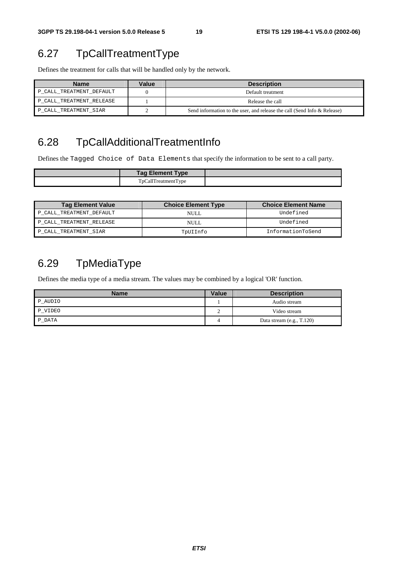## 6.27 TpCallTreatmentType

Defines the treatment for calls that will be handled only by the network.

| <b>Name</b>              | Value | <b>Description</b>                                                       |
|--------------------------|-------|--------------------------------------------------------------------------|
| P_CALL_TREATMENT_DEFAULT |       | Default treatment                                                        |
| P CALL TREATMENT RELEASE |       | Release the call                                                         |
| P CALL TREATMENT SIAR    |       | Send information to the user, and release the call (Send Info & Release) |

## 6.28 TpCallAdditionalTreatmentInfo

Defines the Tagged Choice of Data Elements that specify the information to be sent to a call party.

| <b>Tag Element Type</b> |  |
|-------------------------|--|
| TpCallTreatmentType     |  |

| <b>Tag Element Value</b> | <b>Choice Element Type</b> | <b>Choice Element Name</b> |
|--------------------------|----------------------------|----------------------------|
| P_CALL_TREATMENT_DEFAULT | NULL.                      | Undefined                  |
| P CALL TREATMENT RELEASE | NULL.                      | Undefined                  |
| P CALL TREATMENT SIAR    | TpUIInfo                   | InformationToSend          |

## 6.29 TpMediaType

Defines the media type of a media stream. The values may be combined by a logical 'OR' function.

| <b>Name</b> | Value | <b>Description</b>          |
|-------------|-------|-----------------------------|
| P_AUDIO     |       | Audio stream                |
| P VIDEO     |       | Video stream                |
| P DATA      |       | Data stream $(e.g., T.120)$ |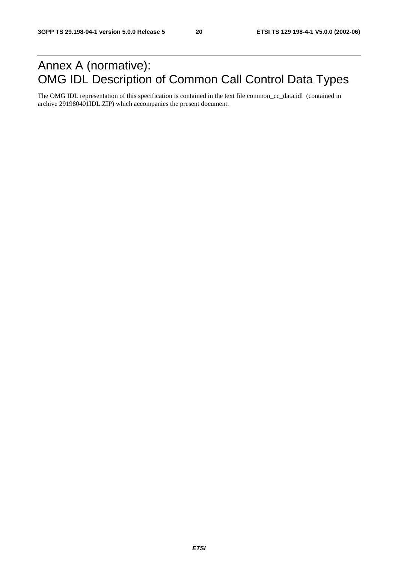## Annex A (normative): OMG IDL Description of Common Call Control Data Types

The OMG IDL representation of this specification is contained in the text file common\_cc\_data.idl (contained in archive 291980401IDL.ZIP) which accompanies the present document.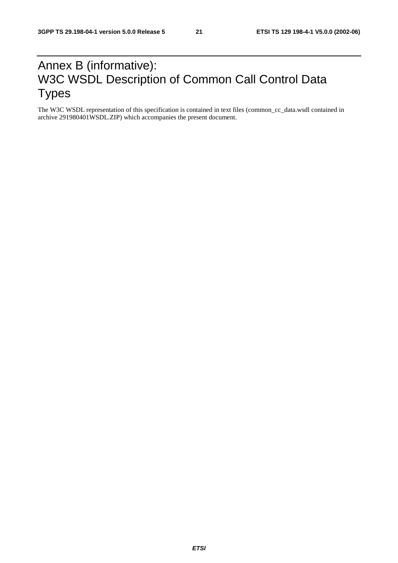## Annex B (informative): W3C WSDL Description of Common Call Control Data Types

The W3C WSDL representation of this specification is contained in text files (common\_cc\_data.wsdl contained in archive 291980401WSDL.ZIP) which accompanies the present document.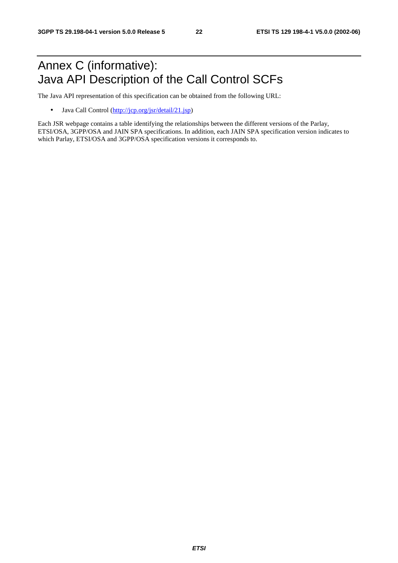## Annex C (informative): Java API Description of the Call Control SCFs

The Java API representation of this specification can be obtained from the following URL:

• Java Call Control [\(http://jcp.org/jsr/detail/21.jsp](http://jcp.org/jsr/detail/21.jsp))

Each JSR webpage contains a table identifying the relationships between the different versions of the Parlay, ETSI/OSA, 3GPP/OSA and JAIN SPA specifications. In addition, each JAIN SPA specification version indicates to which Parlay, ETSI/OSA and 3GPP/OSA specification versions it corresponds to.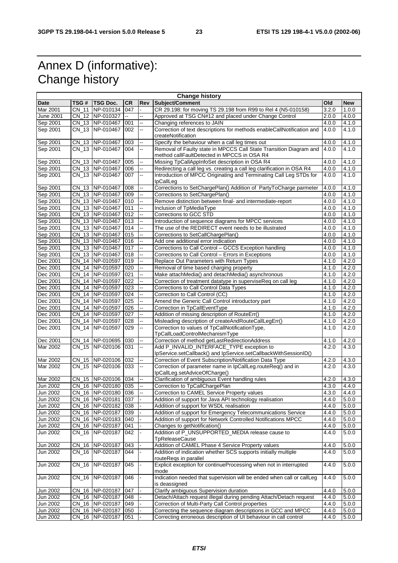## Annex D (informative): Change history

| <b>Change history</b> |       |                     |                |                          |                                                                        |       |            |
|-----------------------|-------|---------------------|----------------|--------------------------|------------------------------------------------------------------------|-------|------------|
| Date                  | TSG # | TSG Doc.            | <b>CR</b>      | Rev                      | Subject/Comment                                                        | Old   | <b>New</b> |
| Mar 2001              | CN 11 | NP-010134           | 047            |                          | CR 29.198: for moving TS 29.198 from R99 to Rel 4 (N5-010158)          | 3.2.0 | 1.0.0      |
| <b>June 2001</b>      |       | CN 12 NP-010327     | $\overline{a}$ | Ξ.                       | Approved at TSG CN#12 and placed under Change Control                  | 2.0.0 | 4.0.0      |
| Sep 2001              |       | CN 13 NP-010467     | 001            | --                       | Changing references to JAIN                                            | 4.0.0 | 4.1.0      |
| Sep 2001              |       | CN_13 NP-010467     | 002            | --                       | Correction of text descriptions for methods enableCallNotification and | 4.0.0 | 4.1.0      |
|                       |       |                     |                |                          | createNotification                                                     |       |            |
| Sep 2001              |       | CN 13 NP-010467     | 003            |                          | Specify the behaviour when a call leg times out                        | 4.0.0 | 4.1.0      |
| Sep 2001              |       | CN 13 NP-010467     | 004            | ц.                       | Removal of Faulty state in MPCCS Call State Transition Diagram and     | 4.0.0 | 4.1.0      |
|                       |       |                     |                |                          | method callFaultDetected in MPCCS in OSA R4                            |       |            |
| Sep 2001              |       | CN_13 NP-010467     | 005            | --                       | Missing TpCallAppInfoSet description in OSA R4                         | 4.0.0 | 4.1.0      |
| Sep 2001              |       | CN_13 NP-010467     | 006            | Ξ.                       | Redirecting a call leg vs. creating a call leg clarification in OSA R4 | 4.0.0 | 4.1.0      |
| Sep 2001              |       | CN_13 NP-010467     | 007            | ш,                       | Introduction of MPCC Originating and Terminating Call Leg STDs for     | 4.0.0 | 4.1.0      |
|                       |       |                     |                |                          | IpCallLeg                                                              |       |            |
| Sep 2001              |       | CN_13 NP-010467     | 008            | щ,                       | Corrections to SetChargePlan() Addition of PartyToCharge parmeter      | 4.0.0 | 4.1.0      |
| Sep 2001              |       | CN_13 NP-010467     | 009            |                          | Corrections to SetChargePlan()                                         | 4.0.0 | 4.1.0      |
| Sep 2001              |       | CN_13 NP-010467     | 010            | ц.                       | Remove distinction between final- and intermediate-report              | 4.0.0 | 4.1.0      |
| Sep 2001              |       | CN_13 NP-010467     | 011            | щ.                       | Inclusion of TpMediaType                                               | 4.0.0 | 4.1.0      |
|                       |       |                     |                |                          | Corrections to GCC STD                                                 |       |            |
| Sep 2001              |       | CN_13 NP-010467     | 012            |                          |                                                                        | 4.0.0 | 4.1.0      |
| Sep 2001              |       | CN_13 NP-010467     | 013            |                          | Introduction of sequence diagrams for MPCC services                    | 4.0.0 | 4.1.0      |
| Sep 2001              |       | CN_13 NP-010467     | 014            | щ.                       | The use of the REDIRECT event needs to be illustrated                  | 4.0.0 | 4.1.0      |
| Sep 2001              |       | CN_13 NP-010467     | 015            | Ξ.                       | Corrections to SetCallChargePlan()                                     | 4.0.0 | 4.1.0      |
| Sep 2001              |       | CN_13 NP-010467     | 016            |                          | Add one additional error indication                                    | 4.0.0 | 4.1.0      |
| Sep 2001              |       | CN_13 NP-010467     | 017            | --                       | Corrections to Call Control - GCCS Exception handling                  | 4.0.0 | 4.1.0      |
| Sep 2001              |       | CN_13 NP-010467     | 018            |                          | Corrections to Call Control - Errors in Exceptions                     | 4.0.0 | 4.1.0      |
| Dec 2001              |       | CN_14 NP-010597     | 019            |                          | Replace Out Parameters with Return Types                               | 4.1.0 | 4.2.0      |
| Dec 2001              |       | CN_14 NP-010597     | 020            | ц,                       | Removal of time based charging property                                | 4.1.0 | 4.2.0      |
| Dec 2001              |       | CN_14 NP-010597     | 021            | щ.                       | Make attachMedia() and detachMedia() asynchronous                      | 4.1.0 | 4.2.0      |
| Dec 2001              |       | CN_14 NP-010597     | 022            |                          | Correction of treatment datatype in superviseReg on call leg           | 4.1.0 | 4.2.0      |
| Dec 2001              |       | CN_14 NP-010597     | 023            |                          | Corrections to Call Control Data Types                                 | 4.1.0 | 4.2.0      |
| Dec 2001              | CN    | 14 NP-010597        | 024            | ш.                       | Correction to Call Control (CC)                                        | 4.1.0 | 4.2.0      |
| Dec 2001              |       | CN 14   NP-010597   | 025            |                          | Amend the Generic Call Control introductory part                       | 4.1.0 | 4.2.0      |
| Dec 2001              |       | CN_14 NP-010597     | 026            | --                       | Correction in TpCallEventType                                          | 4.1.0 | 4.2.0      |
| Dec 2001              |       | CN_14 NP-010597     | 027            | --                       | Addition of missing description of RouteErr()                          | 4.1.0 | 4.2.0      |
| Dec 2001              |       | CN 14 NP-010597     | 028            |                          | Misleading description of createAndRouteCallLegErr()                   | 4.1.0 | 4.2.0      |
| Dec 2001              |       |                     | 029            | щ.                       |                                                                        |       | 4.2.0      |
|                       |       | CN_14 NP-010597     |                |                          | Correction to values of TpCallNotificationType,                        | 4.1.0 |            |
|                       |       |                     |                |                          | TpCallLoadControlMechanismType                                         |       |            |
| Dec 2001              |       | CN_14 NP-010695     | 030            | щ,                       | Correction of method getLastRedirectionAddress                         | 4.1.0 | 4.2.0      |
| Mar 2002              |       | CN_15 NP-020106     | 031            | ц,                       | Add P_INVALID_INTERFACE_TYPE exception to                              | 4.2.0 | 4.3.0      |
|                       |       |                     |                |                          | IpService.setCallback() and IpService.setCallbackWithSessionID()       |       |            |
| Mar 2002              |       | CN_15 NP-020106     | 032            |                          | Correction of Event Subscription/Notification Data Type                | 4.2.0 | 4.3.0      |
| Mar 2002              |       | CN 15 NP-020106     | 033            | ц.                       | Correction of parameter name in lpCallLeg.routeReq() and in            | 4.2.0 | 4.3.0      |
|                       |       |                     |                |                          | IpCallLeg.setAdviceOfCharge()                                          |       |            |
| Mar 2002              |       | CN_15 NP-020106 034 |                |                          | Clarification of ambiguous Event handling rules                        | 4.2.0 | 4.3.0      |
| Jun 2002              |       | CN_16 NP-020180 035 |                | щ.                       | Correction to TpCallChargePlan                                         | 4.3.0 | 4.4.0      |
| Jun 2002              |       | CN_16 NP-020180 036 |                | $\overline{\phantom{a}}$ | Correction to CAMEL Service Property values                            | 4.3.0 | 4.4.0      |
| Jun 2002              |       | CN_16 NP-020181 037 |                |                          | Addition of support for Java API technology realisation                | 4.4.0 | 5.0.0      |
| Jun 2002              |       | CN_16 NP-020182 038 |                |                          | Addition of support for WSDL realisation                               | 4.4.0 | 5.0.0      |
| Jun 2002              |       | CN_16 NP-020187     | 039            |                          | Addition of support for Emergency Telecommunications Service           | 4.4.0 | 5.0.0      |
| Jun 2002              |       | CN 16 NP-020183 040 |                |                          | Addition of support for Network Controlled Notifications MPCC          | 4.4.0 | 5.0.0      |
| Jun 2002              |       | CN_16 NP-020187     | 041            |                          | Changes to getNotification()                                           | 4.4.0 | 5.0.0      |
| Jun 2002              |       | CN 16 NP-020187     | 042            |                          | Addition of P_UNSUPPORTED_MEDIA release cause to                       | 4.4.0 | 5.0.0      |
|                       |       |                     |                |                          | <b>TpReleaseCause</b>                                                  |       |            |
| Jun 2002              |       | CN_16 NP-020187     | 043            |                          | Addition of CAMEL Phase 4 Service Property values                      | 4.4.0 | 5.0.0      |
| Jun 2002              |       | CN_16 NP-020187     | 044            |                          | Addition of indication whether SCS supports initially multiple         | 4.4.0 | 5.0.0      |
|                       |       |                     |                |                          | routeReqs in parallel                                                  |       |            |
| <b>Jun 2002</b>       |       | CN_16 NP-020187     | 045            | $\blacksquare$           | Explicit exception for continueProcessing when not in interrupted      | 4.4.0 | 5.0.0      |
|                       |       |                     |                |                          | mode                                                                   |       |            |
| Jun 2002              |       | CN_16 NP-020187     | 046            |                          | Indication needed that supervision will be ended when call or callLeg  | 4.4.0 | 5.0.0      |
|                       |       |                     |                |                          | is deassigned                                                          |       |            |
|                       |       | CN_16 NP-020187     |                |                          | Clarify ambiguous Supervision duration                                 |       |            |
| Jun 2002              |       |                     | 047            |                          | Detach/Attach request illegal during pending Attach/Detach request     | 4.4.0 | 5.0.0      |
| Jun 2002              |       | CN_16 NP-020187 048 |                |                          |                                                                        | 4.4.0 | 5.0.0      |
| Jun 2002              |       | CN_16 NP-020187 049 |                |                          | Correction of Multi-Party Call Control properties                      | 4.4.0 | 5.0.0      |
| Jun 2002              |       | CN_16 NP-020187     | 050            |                          | Correcting the sequence diagram descriptions in GCC and MPCC           | 4.4.0 | 5.0.0      |
| Jun 2002              |       | CN_16 NP-020187     | 051            |                          | Correcting erroneous description of UI behaviour in call control       | 4.4.0 | 5.0.0      |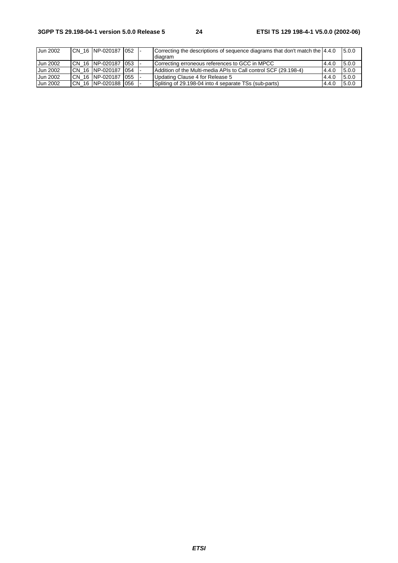| Jun 2002        | CN 16 NP-020187 052    |  | Correcting the descriptions of sequence diagrams that don't match the 4.4.0<br>diagram |       | 5.0.0  |
|-----------------|------------------------|--|----------------------------------------------------------------------------------------|-------|--------|
| Jun 2002        | ICN 16 NP-020187 1053  |  | Correcting erroneous references to GCC in MPCC                                         | 4.4.0 | 15.0.0 |
| Jun 2002        | ICN 16 NP-020187 054   |  | Addition of the Multi-media APIs to Call control SCF (29.198-4)                        | 4.4.0 | 5.0.0  |
| Jun 2002        | ICN 16 INP-020187 1055 |  | Updating Clause 4 for Release 5                                                        | 4.4.0 | 5.0.0  |
| <b>Jun 2002</b> | ICN 16 INP-020188 1056 |  | Spliting of 29.198-04 into 4 separate TSs (sub-parts)                                  | 4.4.0 | 5.0.0  |